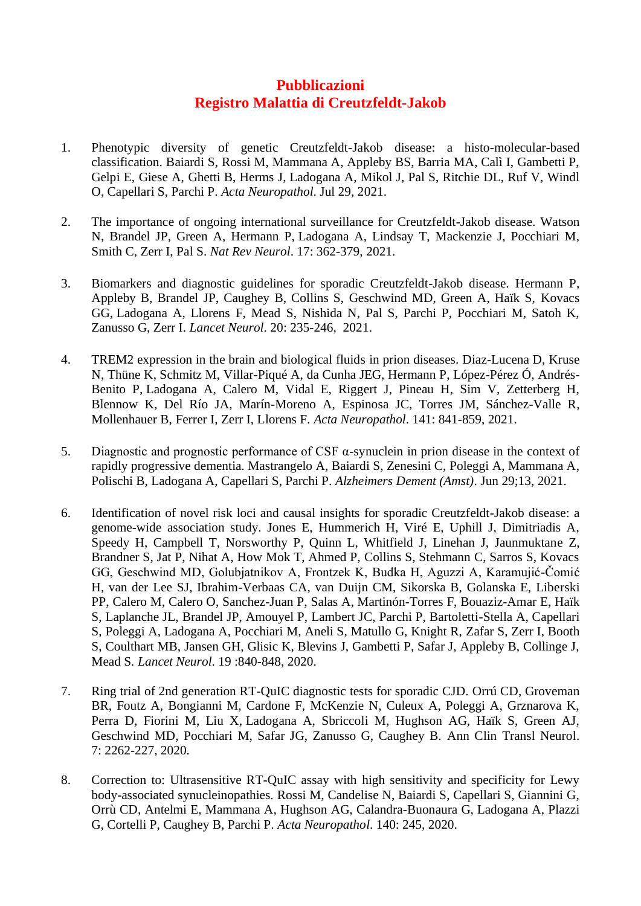## **Pubblicazioni Registro Malattia di Creutzfeldt-Jakob**

- 1. [Phenotypic diversity of genetic Creutzfeldt-Jakob disease: a histo-molecular-based](https://pubmed.ncbi.nlm.nih.gov/34324063/)  [classification.](https://pubmed.ncbi.nlm.nih.gov/34324063/) Baiardi S, Rossi M, Mammana A, Appleby BS, Barria MA, Calì I, Gambetti P, Gelpi E, Giese A, Ghetti B, Herms J, Ladogana A, Mikol J, Pal S, Ritchie DL, Ruf V, Windl O, Capellari S, Parchi P. *Acta Neuropathol*. Jul 29, 2021.
- 2. [The importance of ongoing international surveillance for Creutzfeldt-Jakob disease.](https://pubmed.ncbi.nlm.nih.gov/33972773/) Watson N, Brandel JP, Green A, Hermann P, Ladogana A, Lindsay T, Mackenzie J, Pocchiari M, Smith C, Zerr I, Pal S. *Nat Rev Neurol*. 17: 362-379, 2021.
- 3. [Biomarkers and diagnostic guidelines for sporadic Creutzfeldt-Jakob disease.](https://pubmed.ncbi.nlm.nih.gov/33609480/) Hermann P, Appleby B, Brandel JP, Caughey B, Collins S, Geschwind MD, Green A, Haïk S, Kovacs GG, Ladogana A, Llorens F, Mead S, Nishida N, Pal S, Parchi P, Pocchiari M, Satoh K, Zanusso G, Zerr I. *Lancet Neurol*. 20: 235-246, 2021.
- 4. [TREM2 expression in the brain and biological fluids in prion diseases.](https://pubmed.ncbi.nlm.nih.gov/33881612/) Diaz-Lucena D, Kruse N, Thüne K, Schmitz M, Villar-Piqué A, da Cunha JEG, Hermann P, López-Pérez Ó, Andrés-Benito P, Ladogana A, Calero M, Vidal E, Riggert J, Pineau H, Sim V, Zetterberg H, Blennow K, Del Río JA, Marín-Moreno A, Espinosa JC, Torres JM, Sánchez-Valle R, Mollenhauer B, Ferrer I, Zerr I, Llorens F. *Acta Neuropathol*. 141: 841-859, 2021.
- 5. Diagnostic and prognostic performance of CSF  $\alpha$ -synuclein in prion disease in the context of [rapidly progressive dementia.](https://pubmed.ncbi.nlm.nih.gov/34222611/) Mastrangelo A, Baiardi S, Zenesini C, Poleggi A, Mammana A, Polischi B, Ladogana A, Capellari S, Parchi P. *Alzheimers Dement (Amst)*. Jun 29;13, 2021.
- 6. [Identification of novel risk loci and causal insights for sporadic Creutzfeldt-Jakob disease: a](https://pubmed.ncbi.nlm.nih.gov/32949544/)  [genome-wide association study.](https://pubmed.ncbi.nlm.nih.gov/32949544/) Jones E, Hummerich H, Viré E, Uphill J, Dimitriadis A, Speedy H, Campbell T, Norsworthy P, Quinn L, Whitfield J, Linehan J, Jaunmuktane Z, Brandner S, Jat P, Nihat A, How Mok T, Ahmed P, Collins S, Stehmann C, Sarros S, Kovacs GG, Geschwind MD, Golubjatnikov A, Frontzek K, Budka H, Aguzzi A, Karamujić-Čomić H, van der Lee SJ, Ibrahim-Verbaas CA, van Duijn CM, Sikorska B, Golanska E, Liberski PP, Calero M, Calero O, Sanchez-Juan P, Salas A, Martinón-Torres F, Bouaziz-Amar E, Haïk S, Laplanche JL, Brandel JP, Amouyel P, Lambert JC, Parchi P, Bartoletti-Stella A, Capellari S, Poleggi A, Ladogana A, Pocchiari M, Aneli S, Matullo G, Knight R, Zafar S, Zerr I, Booth S, Coulthart MB, Jansen GH, Glisic K, Blevins J, Gambetti P, Safar J, Appleby B, Collinge J, Mead S*. Lancet Neurol*. 19 :840-848, 2020.
- 7. [Ring trial of 2nd generation RT-QuIC diagnostic tests for sporadic CJD.](https://pubmed.ncbi.nlm.nih.gov/33185334/) Orrú CD, Groveman BR, Foutz A, Bongianni M, Cardone F, McKenzie N, Culeux A, Poleggi A, Grznarova K, Perra D, Fiorini M, Liu X, Ladogana A, Sbriccoli M, Hughson AG, Haïk S, Green AJ, Geschwind MD, Pocchiari M, Safar JG, Zanusso G, Caughey B. Ann Clin Transl Neurol. 7: 2262-227, 2020.
- 8. [Correction to: Ultrasensitive RT-QuIC assay with high sensitivity and specificity for Lewy](https://pubmed.ncbi.nlm.nih.gov/32556961/)  [body-associated synucleinopathies.](https://pubmed.ncbi.nlm.nih.gov/32556961/) Rossi M, Candelise N, Baiardi S, Capellari S, Giannini G, Orrù CD, Antelmi E, Mammana A, Hughson AG, Calandra-Buonaura G, Ladogana A, Plazzi G, Cortelli P, Caughey B, Parchi P. *Acta Neuropathol*. 140: 245, 2020.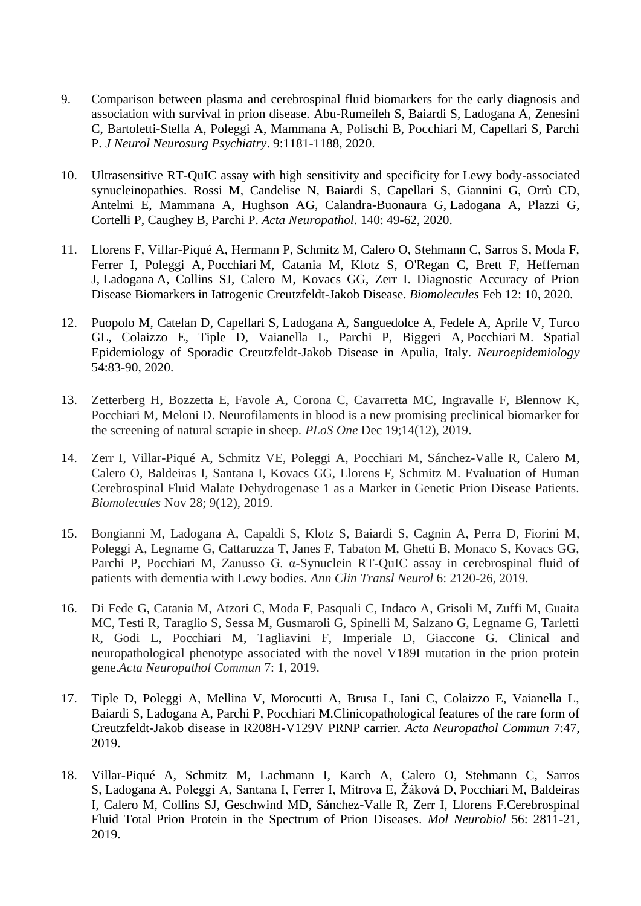- 9. [Comparison between plasma and cerebrospinal fluid biomarkers](https://pubmed.ncbi.nlm.nih.gov/32928934/) for the early diagnosis and [association with survival in prion disease.](https://pubmed.ncbi.nlm.nih.gov/32928934/) Abu-Rumeileh S, Baiardi S, Ladogana A, Zenesini C, Bartoletti-Stella A, Poleggi A, Mammana A, Polischi B, Pocchiari M, Capellari S, Parchi P. *J Neurol Neurosurg Psychiatry*. 9:1181-1188, 2020.
- 10. [Ultrasensitive RT-QuIC assay with high sensitivity and specificity for Lewy body-associated](https://pubmed.ncbi.nlm.nih.gov/32342188/)  [synucleinopathies.](https://pubmed.ncbi.nlm.nih.gov/32342188/) Rossi M, Candelise N, Baiardi S, Capellari S, Giannini G, Orrù CD, Antelmi E, Mammana A, Hughson AG, Calandra-Buonaura G, Ladogana A, Plazzi G, Cortelli P, Caughey B, Parchi P. *Acta Neuropathol*. 140: 49-62, 2020.
- 11. Llorens F, Villar-Piqué A, Hermann P, Schmitz M, Calero O, Stehmann C, Sarros S, Moda F, Ferrer I, Poleggi A, Pocchiari M, Catania M, Klotz S, O'Regan C, Brett F, Heffernan J, Ladogana A, Collins SJ, Calero M, Kovacs GG, Zerr I. Diagnostic Accuracy of Prion Disease Biomarkers in Iatrogenic Creutzfeldt-Jakob Disease. *Biomolecules* Feb 12: 10, 2020.
- 12. Puopolo M, Catelan D, Capellari S, Ladogana A, Sanguedolce A, Fedele A, Aprile V, Turco GL, Colaizzo E, Tiple D, Vaianella L, Parchi P, Biggeri A, Pocchiari M. Spatial Epidemiology of Sporadic Creutzfeldt-Jakob Disease in Apulia, Italy. *Neuroepidemiology* 54:83-90, 2020.
- 13. Zetterberg H, Bozzetta E, Favole A, Corona C, Cavarretta MC, Ingravalle F, Blennow K, Pocchiari M, Meloni D. Neurofilaments in blood is a new promising preclinical biomarker for the screening of natural scrapie in sheep. *PLoS One* Dec 19;14(12), 2019.
- 14. Zerr I, Villar-Piqué A, Schmitz VE, Poleggi A, Pocchiari M, Sánchez-Valle R, Calero M, Calero O, Baldeiras I, Santana I, Kovacs GG, Llorens F, Schmitz M. Evaluation of Human Cerebrospinal Fluid Malate Dehydrogenase 1 as a Marker in Genetic Prion Disease Patients. *Biomolecules* Nov 28; 9(12), 2019.
- 15. Bongianni M, Ladogana A, Capaldi S, Klotz S, Baiardi S, Cagnin A, Perra D, Fiorini M, Poleggi A, Legname G, Cattaruzza T, Janes F, Tabaton M, Ghetti B, Monaco S, Kovacs GG, Parchi P, Pocchiari M, Zanusso G. α-Synuclein RT-QuIC assay in cerebrospinal fluid of patients with dementia with Lewy bodies. *Ann Clin Transl Neurol* 6: 2120-26, 2019.
- 16. Di Fede G, Catania M, Atzori C, Moda F, Pasquali C, Indaco A, Grisoli M, Zuffi M, Guaita MC, Testi R, Taraglio S, Sessa M, Gusmaroli G, Spinelli M, Salzano G, Legname G, Tarletti R, Godi L, Pocchiari M, Tagliavini F, Imperiale D, Giaccone G. Clinical and neuropathological phenotype associated with the novel V189I mutation in the prion protein gene.*Acta Neuropathol Commun* 7: 1, 2019.
- 17. Tiple D, Poleggi A, Mellina V, Morocutti A, Brusa L, Iani C, Colaizzo E, Vaianella L, Baiardi S, Ladogana A, Parchi P, Pocchiari M.Clinicopathological features of the rare form of Creutzfeldt-Jakob disease in R208H-V129V PRNP carrier. *Acta Neuropathol Commun* 7:47, 2019.
- 18. Villar-Piqué A, Schmitz M, Lachmann I, Karch A, Calero O, Stehmann C, Sarros S, Ladogana A, Poleggi A, Santana I, Ferrer I, Mitrova E, Žáková D, Pocchiari M, Baldeiras I, Calero M, Collins SJ, Geschwind MD, Sánchez-Valle R, Zerr I, Llorens F.Cerebrospinal Fluid Total Prion Protein in the Spectrum of Prion Diseases. *Mol Neurobiol* 56: 2811-21, 2019.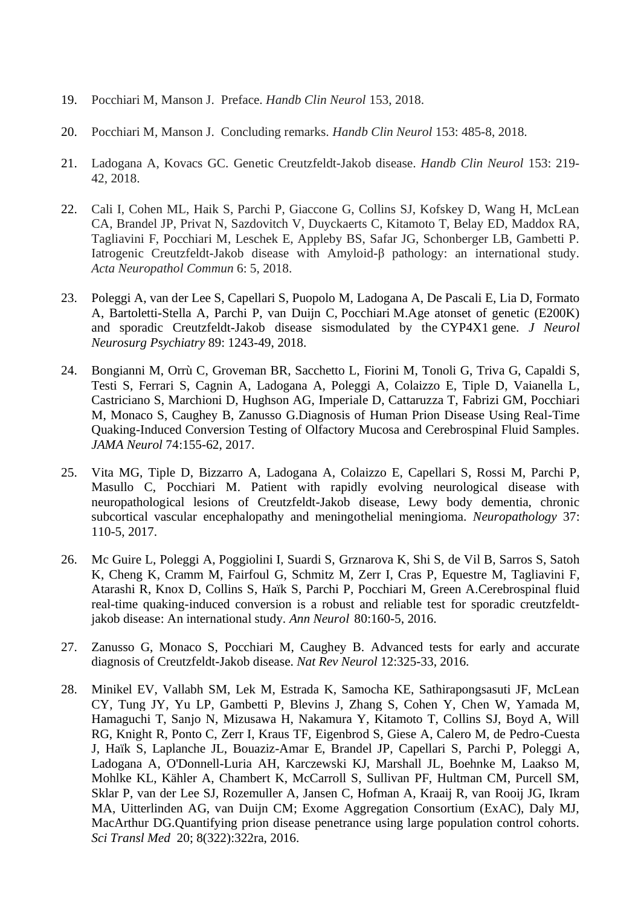- 19. Pocchiari M, Manson J. Preface. *Handb Clin Neurol* 153, 2018.
- 20. Pocchiari M, Manson J. Concluding remarks. *Handb Clin Neurol* 153: 485-8, 2018.
- 21. Ladogana A, Kovacs GC. [Genetic Creutzfeldt-Jakob disease.](https://www.ncbi.nlm.nih.gov/pubmed/29887139) *Handb Clin Neurol* 153: 219- 42, 2018.
- 22. Cali I, Cohen ML, Haik S, Parchi P, Giaccone G, Collins SJ, Kofskey D, Wang H, McLean CA, Brandel JP, Privat N, Sazdovitch V, Duyckaerts C, Kitamoto T, Belay ED, Maddox RA, Tagliavini F, Pocchiari M, Leschek E, Appleby BS, Safar JG, Schonberger LB, Gambetti P. Iatrogenic Creutzfeldt-Jakob disease with Amyloid-β pathology: an international study. *Acta Neuropathol Commun* 6: 5, 2018.
- 23. Poleggi A, van der Lee S, Capellari S, Puopolo M, Ladogana A, De Pascali E, Lia D, Formato A, Bartoletti-Stella A, Parchi P, van Duijn C, Pocchiari M.Age atonset of genetic (E200K) and sporadic Creutzfeldt-Jakob disease sismodulated by the CYP4X1 gene. *J Neurol Neurosurg Psychiatry* 89: 1243-49, 2018.
- 24. Bongianni M, [Orrù C,](https://www.ncbi.nlm.nih.gov/pubmed/?term=Orr%C3%B9%20C%5BAuthor%5D&cauthor=true&cauthor_uid=27942718) [Groveman BR,](https://www.ncbi.nlm.nih.gov/pubmed/?term=Groveman%20BR%5BAuthor%5D&cauthor=true&cauthor_uid=27942718) [Sacchetto L,](https://www.ncbi.nlm.nih.gov/pubmed/?term=Sacchetto%20L%5BAuthor%5D&cauthor=true&cauthor_uid=27942718) Fiorini M, [Tonoli G,](https://www.ncbi.nlm.nih.gov/pubmed/?term=Tonoli%20G%5BAuthor%5D&cauthor=true&cauthor_uid=27942718) [Triva G,](https://www.ncbi.nlm.nih.gov/pubmed/?term=Triva%20G%5BAuthor%5D&cauthor=true&cauthor_uid=27942718) [Capaldi](https://www.ncbi.nlm.nih.gov/pubmed/?term=Capaldi%20S%5BAuthor%5D&cauthor=true&cauthor_uid=27942718) S, [Testi S,](https://www.ncbi.nlm.nih.gov/pubmed/?term=Testi%20S%5BAuthor%5D&cauthor=true&cauthor_uid=27942718) [Ferrari S,](https://www.ncbi.nlm.nih.gov/pubmed/?term=Ferrari%20S%5BAuthor%5D&cauthor=true&cauthor_uid=27942718) [Cagnin A,](https://www.ncbi.nlm.nih.gov/pubmed/?term=Cagnin%20A%5BAuthor%5D&cauthor=true&cauthor_uid=27942718) Ladogana A, [Poleggi A,](https://www.ncbi.nlm.nih.gov/pubmed/?term=Poleggi%20A%5BAuthor%5D&cauthor=true&cauthor_uid=27942718) [Colaizzo E,](https://www.ncbi.nlm.nih.gov/pubmed/?term=Colaizzo%20E%5BAuthor%5D&cauthor=true&cauthor_uid=27942718) [Tiple D,](https://www.ncbi.nlm.nih.gov/pubmed/?term=Tiple%20D%5BAuthor%5D&cauthor=true&cauthor_uid=27942718) [Vaianella L,](https://www.ncbi.nlm.nih.gov/pubmed/?term=Vaianella%20L%5BAuthor%5D&cauthor=true&cauthor_uid=27942718) [Castriciano S,](https://www.ncbi.nlm.nih.gov/pubmed/?term=Castriciano%20S%5BAuthor%5D&cauthor=true&cauthor_uid=27942718) [Marchioni D,](https://www.ncbi.nlm.nih.gov/pubmed/?term=Marchioni%20D%5BAuthor%5D&cauthor=true&cauthor_uid=27942718) [Hughson AG,](https://www.ncbi.nlm.nih.gov/pubmed/?term=Hughson%20AG%5BAuthor%5D&cauthor=true&cauthor_uid=27942718) [Imperiale D,](https://www.ncbi.nlm.nih.gov/pubmed/?term=Imperiale%20D%5BAuthor%5D&cauthor=true&cauthor_uid=27942718) Cattaruzza T, Fabrizi GM, [Pocchiari](https://www.ncbi.nlm.nih.gov/pubmed/?term=Pocchiari%20M%5BAuthor%5D&cauthor=true&cauthor_uid=27942718)  [M,](https://www.ncbi.nlm.nih.gov/pubmed/?term=Pocchiari%20M%5BAuthor%5D&cauthor=true&cauthor_uid=27942718) Monaco S, Caughey B, [Zanusso G.](https://www.ncbi.nlm.nih.gov/pubmed/?term=Zanusso%20G%5BAuthor%5D&cauthor=true&cauthor_uid=27942718)Diagnosis of Human Prion Disease Using Real-Time Quaking-Induced Conversion Testing of Olfactory Mucosa and Cerebrospinal Fluid Samples. *JAMA Neurol* 74:155-62, 2017.
- 25. Vita MG, Tiple D, Bizzarro A, Ladogana A, Colaizzo E, Capellari S, Rossi M, Parchi P, Masullo C, Pocchiari M. Patient with rapidly evolving neurological disease with neuropathological lesions of Creutzfeldt-Jakob disease, Lewy body dementia, chronic subcortical vascular encephalopathy and meningothelial meningioma. *Neuropathology* 37: 110-5, 2017.
- 26. Mc Guire L, Poleggi A, Poggiolini I, Suardi S, [Grznarova K,](https://www.ncbi.nlm.nih.gov/pubmed/?term=Grznarova%20K%5BAuthor%5D&cauthor=true&cauthor_uid=27130376) Shi S, [de Vil B,](https://www.ncbi.nlm.nih.gov/pubmed/?term=de%20Vil%20B%5BAuthor%5D&cauthor=true&cauthor_uid=27130376) [Sarros S,](https://www.ncbi.nlm.nih.gov/pubmed/?term=Sarros%20S%5BAuthor%5D&cauthor=true&cauthor_uid=27130376) Satoh K, [Cheng K,](https://www.ncbi.nlm.nih.gov/pubmed/?term=Cheng%20K%5BAuthor%5D&cauthor=true&cauthor_uid=27130376) [Cramm M,](https://www.ncbi.nlm.nih.gov/pubmed/?term=Cramm%20M%5BAuthor%5D&cauthor=true&cauthor_uid=27130376) Fairfoul G, [Schmitz M,](https://www.ncbi.nlm.nih.gov/pubmed/?term=Schmitz%20M%5BAuthor%5D&cauthor=true&cauthor_uid=27130376) [Zerr I,](https://www.ncbi.nlm.nih.gov/pubmed/?term=Zerr%20I%5BAuthor%5D&cauthor=true&cauthor_uid=27130376) [Cras P,](https://www.ncbi.nlm.nih.gov/pubmed/?term=Cras%20P%5BAuthor%5D&cauthor=true&cauthor_uid=27130376) [Equestre M,](https://www.ncbi.nlm.nih.gov/pubmed/?term=Equestre%20M%5BAuthor%5D&cauthor=true&cauthor_uid=27130376) Tagliavini F, [Atarashi R,](https://www.ncbi.nlm.nih.gov/pubmed/?term=Atarashi%20R%5BAuthor%5D&cauthor=true&cauthor_uid=27130376) Knox D, [Collins S,](https://www.ncbi.nlm.nih.gov/pubmed/?term=Collins%20S%5BAuthor%5D&cauthor=true&cauthor_uid=27130376) [Haïk S,](https://www.ncbi.nlm.nih.gov/pubmed/?term=Ha%C3%AFk%20S%5BAuthor%5D&cauthor=true&cauthor_uid=27130376) Parchi P, Pocchiari M, Green A.Cerebrospinal fluid real-time quaking-induced conversion is a robust and reliable test for sporadic creutzfeldtjakob disease: An international study. *[Ann Neurol](https://www.ncbi.nlm.nih.gov/pubmed/27130376)* 80:160-5, 2016.
- 27. Zanusso G, Monaco S, Pocchiari M, Caughey B. Advanced tests for early and accurate diagnosis of Creutzfeldt-Jakob disease. *Nat Rev Neurol* 12:325-33, 2016.
- 28. Minikel EV, Vallabh SM, Lek M, Estrada K, Samocha KE, Sathirapongsasuti JF, McLean CY, Tung JY, Yu LP, Gambetti P, Blevins J, Zhang S, Cohen Y, Chen W, Yamada M, Hamaguchi T, Sanjo N, Mizusawa H, Nakamura Y, Kitamoto T, Collins SJ, Boyd A, Will RG, Knight R, Ponto C, Zerr I, Kraus TF, Eigenbrod S, Giese A, Calero M, de Pedro-Cuesta J, Haïk S, Laplanche JL, Bouaziz-Amar E, Brandel JP, Capellari S, Parchi P, Poleggi A, Ladogana A, O'Donnell-Luria AH, Karczewski KJ, Marshall JL, Boehnke M, Laakso M, Mohlke KL, Kähler A, Chambert K, McCarroll S, Sullivan PF, Hultman CM, Purcell SM, Sklar P, van der Lee SJ, Rozemuller A, Jansen C, Hofman A, Kraaij R, van Rooij JG, Ikram MA, Uitterlinden AG, van Duijn CM; Exome Aggregation Consortium (ExAC), Daly MJ, MacArthur DG[.Quantifying prion disease penetrance using large population control cohorts.](https://www.ncbi.nlm.nih.gov/pubmed/26791950) *Sci Transl Med* 20; 8(322):322ra, 2016.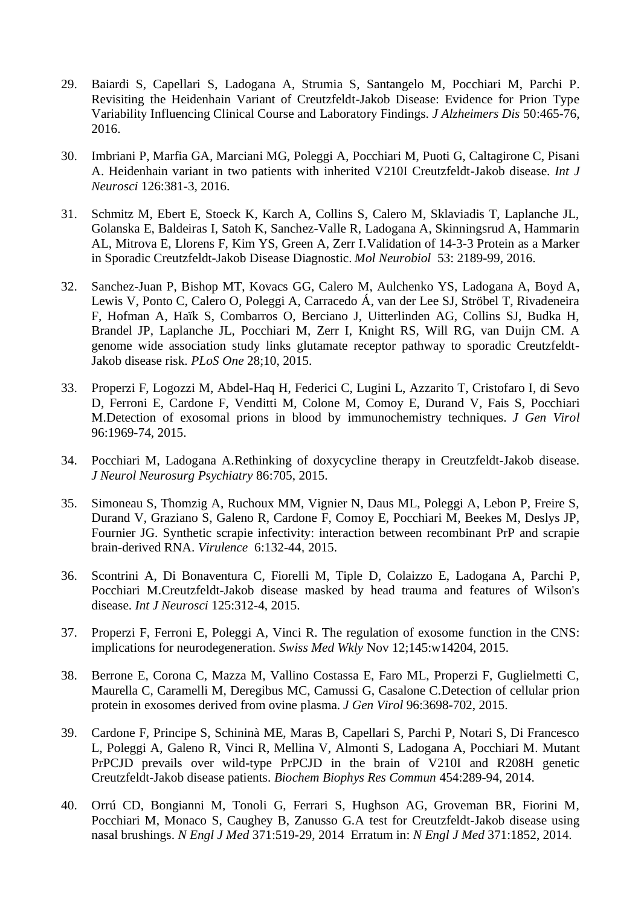- 29. Baiardi S, Capellari S, Ladogana A, Strumia S, Santangelo M, Pocchiari M, Parchi P. Revisiting the Heidenhain Variant of Creutzfeldt-Jakob Disease: Evidence for Prion Type Variability Influencing Clinical Course and Laboratory Findings. *J Alzheimers Dis* 50:465-76, 2016.
- 30. Imbriani P, Marfia GA, Marciani MG, Poleggi A, Pocchiari M, Puoti G, Caltagirone C, Pisani A. Heidenhain variant in two patients with inherited V210I Creutzfeldt-Jakob disease. *Int J Neurosci* 126:381-3, 2016.
- 31. Schmitz M, Ebert E, Stoeck K, Karch A, Collins S, Calero M, Sklaviadis T, Laplanche JL, Golanska E, Baldeiras I, Satoh K, Sanchez-Valle R, Ladogana A, Skinningsrud A, Hammarin AL, Mitrova E, Llorens F, Kim YS, Green A, Zerr I[.Validation of 14-3-3 Protein as a Marker](https://www.ncbi.nlm.nih.gov/pubmed/25947081)  [in Sporadic Creutzfeldt-Jakob Disease Diagnostic.](https://www.ncbi.nlm.nih.gov/pubmed/25947081) *Mol Neurobiol* 53: 2189-99, 2016.
- 32. Sanchez-Juan P, Bishop MT, Kovacs GG, Calero M, Aulchenko YS, Ladogana A, Boyd A, Lewis V, Ponto C, Calero O, Poleggi A, Carracedo Á, van der Lee SJ, Ströbel T, Rivadeneira F, Hofman A, Haïk S, Combarros O, Berciano J, Uitterlinden AG, Collins SJ, Budka H, Brandel JP, Laplanche JL, Pocchiari M, Zerr I, Knight RS, Will RG, van Duijn CM. A genome wide association study links glutamate receptor pathway to sporadic Creutzfeldt-Jakob disease risk. *PLoS One* 28;10, 2015.
- 33. Properzi F, Logozzi M, Abdel-Haq H, Federici C, Lugini L, Azzarito T, Cristofaro I, di Sevo D, Ferroni E, Cardone F, Venditti M, Colone M, Comoy E, Durand V, Fais S, Pocchiari M[.Detection of exosomal prions in blood by immunochemistry techniques.](https://www.ncbi.nlm.nih.gov/pubmed/25805411) *J Gen Virol* 96:1969-74, 2015.
- 34. Pocchiari M, Ladogana A[.Rethinking of doxycycline therapy in Creutzfeldt-Jakob disease.](https://www.ncbi.nlm.nih.gov/pubmed/25632154) *J Neurol Neurosurg Psychiatry* 86:705, 2015.
- 35. Simoneau S, Thomzig A, Ruchoux MM, Vignier N, Daus ML, Poleggi A, Lebon P, Freire S, Durand V, Graziano S, Galeno R, Cardone F, Comoy E, Pocchiari M, Beekes M, Deslys JP, Fournier JG. Synthetic scrapie infectivity: interaction between recombinant PrP and scrapie brain-derived RNA. *Virulence* 6:132-44, 2015.
- 36. Scontrini A, Di Bonaventura C, Fiorelli M, Tiple D, Colaizzo E, Ladogana A, Parchi P, Pocchiari M.Creutzfeldt-Jakob disease masked by head trauma and features of Wilson's disease. *Int J Neurosci* 125:312-4, 2015.
- 37. Properzi F, Ferroni E, Poleggi A, Vinci R. The regulation of exosome function in the CNS: implications for neurodegeneration. *Swiss Med Wkly* Nov 12;145:w14204, 2015.
- 38. Berrone E, Corona C, Mazza M, Vallino Costassa E, Faro ML, Properzi F, Guglielmetti C, Maurella C, Caramelli M, Deregibus MC, Camussi G, Casalone C[.Detection of cellular prion](https://www.ncbi.nlm.nih.gov/pubmed/26399471)  [protein in exosomes derived from ovine plasma.](https://www.ncbi.nlm.nih.gov/pubmed/26399471) *J Gen Virol* 96:3698-702, 2015.
- 39. Cardone F, Principe S, Schininà ME, Maras B, Capellari S, Parchi P, Notari S, Di Francesco L, Poleggi A, Galeno R, Vinci R, Mellina V, Almonti S, Ladogana A, Pocchiari M. Mutant PrPCJD prevails over wild-type PrPCJD in the brain of V210I and R208H genetic Creutzfeldt-Jakob disease patients. *Biochem Biophys Res Commun* 454:289-94, 2014.
- 40. Orrú CD, Bongianni M, Tonoli G, Ferrari S, Hughson AG, Groveman BR, Fiorini M, Pocchiari M, Monaco S, Caughey B, Zanusso G.A test for Creutzfeldt-Jakob disease using nasal brushings. *N Engl J Med* 371:519-29, 2014 Erratum in: *N Engl J Med* 371:1852, 2014.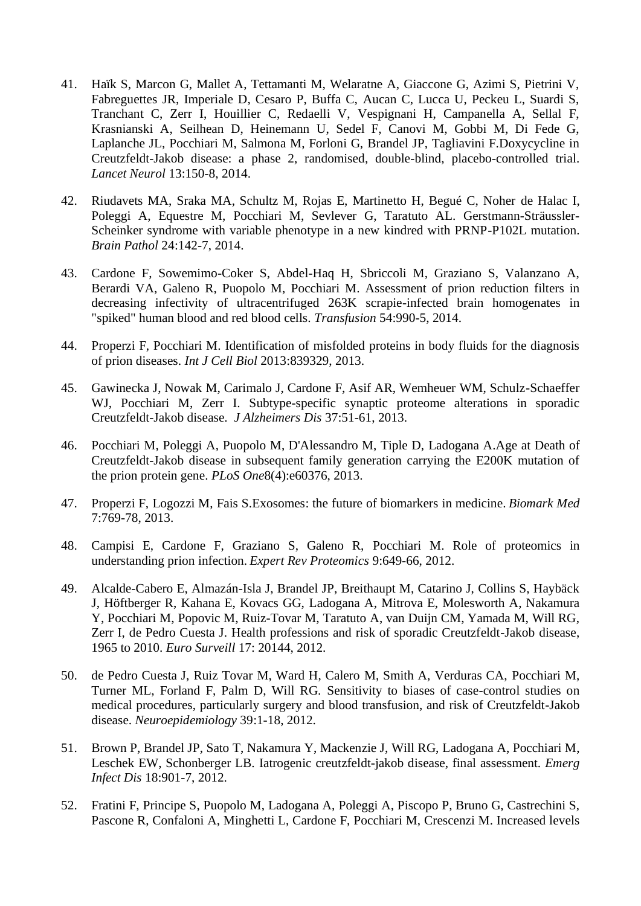- 41. Haïk S, Marcon G, Mallet A, Tettamanti M, Welaratne A, Giaccone G, Azimi S, Pietrini V, Fabreguettes JR, Imperiale D, Cesaro P, Buffa C, Aucan C, Lucca U, Peckeu L, Suardi S, Tranchant C, Zerr I, Houillier C, Redaelli V, Vespignani H, Campanella A, Sellal F, Krasnianski A, Seilhean D, Heinemann U, Sedel F, Canovi M, Gobbi M, Di Fede G, Laplanche JL, Pocchiari M, Salmona M, Forloni G, Brandel JP, Tagliavini F.Doxycycline in Creutzfeldt-Jakob disease: a phase 2, randomised, double-blind, placebo-controlled trial. *Lancet Neurol* 13:150-8, 2014.
- 42. Riudavets MA, Sraka MA, Schultz M, Rojas E, Martinetto H, Begué C, Noher de Halac I, Poleggi A, Equestre M, Pocchiari M, Sevlever G, Taratuto AL. [Gerstmann-Sträussler-](https://www.ncbi.nlm.nih.gov/pubmed/23944754)[Scheinker syndrome with variable phenotype in a new kindred with PRNP-P102L mutation.](https://www.ncbi.nlm.nih.gov/pubmed/23944754) *Brain Pathol* 24:142-7, 2014.
- 43. Cardone F, Sowemimo-Coker S, Abdel-Haq H, Sbriccoli M, Graziano S, Valanzano A, Berardi VA, Galeno R, Puopolo M, Pocchiari M. Assessment of prion reduction filters in decreasing infectivity of ultracentrifuged 263K scrapie-infected brain homogenates in "spiked" human blood and red blood cells. *Transfusion* 54:990-5, 2014.
- 44. Properzi F, Pocchiari M. Identification of misfolded proteins in body fluids for the diagnosis of prion diseases. *Int J Cell Biol* 2013:839329, 2013.
- 45. Gawinecka J, Nowak M, Carimalo J, Cardone F, Asif AR, Wemheuer WM, Schulz-Schaeffer WJ, Pocchiari M, Zerr I. Subtype-specific synaptic proteome alterations in sporadic Creutzfeldt-Jakob disease. *J Alzheimers Dis* 37:51-61, 2013.
- 46. Pocchiari M, Poleggi A, Puopolo M, D'Alessandro M, Tiple D, Ladogana A.Age at Death of Creutzfeldt-Jakob disease in subsequent family generation carrying the E200K mutation of the prion protein gene. *PLoS One*8(4):e60376, 2013.
- 47. Properzi F, Logozzi M, Fais S[.Exosomes: the future of biomarkers in medicine.](https://www.ncbi.nlm.nih.gov/pubmed/24044569) *Biomark Med* 7:769-78, 2013.
- 48. Campisi E, Cardone F, Graziano S, Galeno R, Pocchiari M. [Role of proteomics in](https://www.ncbi.nlm.nih.gov/pubmed/23256675)  [understanding prion infection.](https://www.ncbi.nlm.nih.gov/pubmed/23256675) *Expert Rev Proteomics* 9:649-66, 2012.
- 49. Alcalde-Cabero E, Almazán-Isla J, Brandel JP, Breithaupt M, Catarino J, Collins S, Haybäck J, Höftberger R, Kahana E, Kovacs GG, Ladogana A, Mitrova E, Molesworth A, Nakamura Y, Pocchiari M, Popovic M, Ruiz-Tovar M, Taratuto A, van Duijn CM, Yamada M, Will RG, Zerr I, de Pedro Cuesta J. Health professions and risk of sporadic Creutzfeldt-Jakob disease, 1965 to 2010. *Euro Surveill* 17: 20144, 2012.
- 50. de Pedro Cuesta J, Ruiz Tovar M, Ward H, Calero M, Smith A, Verduras CA, Pocchiari M, Turner ML, Forland F, Palm D, Will RG. Sensitivity to biases of case-control studies on medical procedures, particularly surgery and blood transfusion, and risk of Creutzfeldt-Jakob disease. *Neuroepidemiology* 39:1-18, 2012.
- 51. Brown P, Brandel JP, Sato T, Nakamura Y, Mackenzie J, Will RG, Ladogana A, Pocchiari M, Leschek EW, Schonberger LB. Iatrogenic creutzfeldt-jakob disease, final assessment. *Emerg Infect Dis* 18:901-7, 2012.
- 52. Fratini F, Principe S, Puopolo M, Ladogana A, Poleggi A, Piscopo P, Bruno G, Castrechini S, Pascone R, Confaloni A, Minghetti L, Cardone F, Pocchiari M, Crescenzi M. Increased levels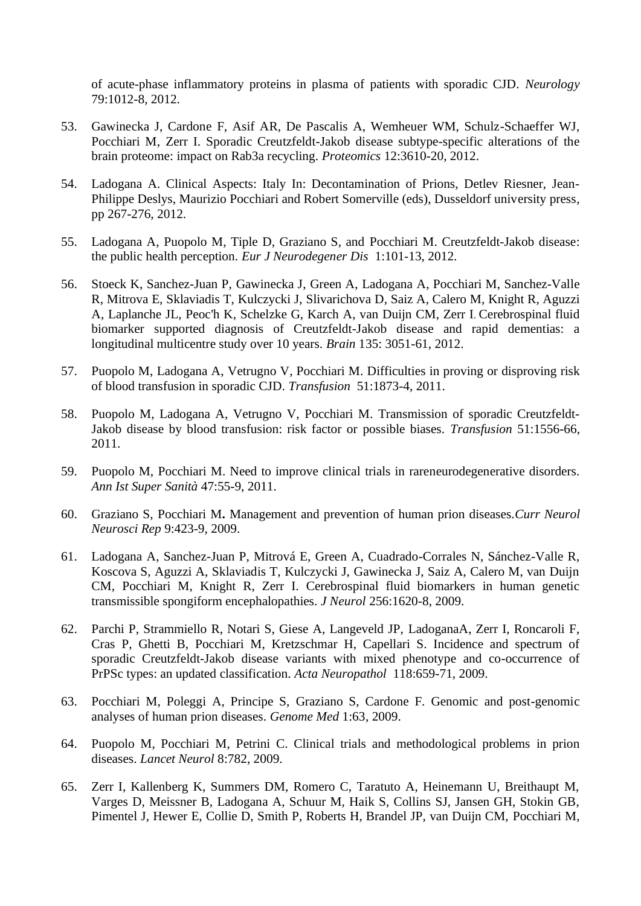of acute-phase inflammatory proteins in plasma of patients with sporadic CJD. *Neurology* 79:1012-8, 2012.

- 53. Gawinecka J, Cardone F, Asif AR, De Pascalis A, Wemheuer WM, Schulz-Schaeffer WJ, Pocchiari M, Zerr I. Sporadic Creutzfeldt-Jakob disease subtype-specific alterations of the brain proteome: impact on Rab3a recycling. *Proteomics* 12:3610-20, 2012.
- 54. Ladogana A. Clinical Aspects: Italy In: Decontamination of Prions, Detlev Riesner, Jean-Philippe Deslys, Maurizio Pocchiari and Robert Somerville (eds), Dusseldorf university press, pp 267-276, 2012.
- 55. Ladogana A, Puopolo M, Tiple D, Graziano S, and Pocchiari M. Creutzfeldt-Jakob disease: the public health perception. *Eur J Neurodegener Dis* 1:101-13, 2012.
- 56. [Stoeck K,](http://www.ncbi.nlm.nih.gov/pubmed?term=Stoeck%20K%5BAuthor%5D&cauthor=true&cauthor_uid=23012332) [Sanchez-Juan P,](http://www.ncbi.nlm.nih.gov/pubmed?term=Sanchez-Juan%20P%5BAuthor%5D&cauthor=true&cauthor_uid=23012332) [Gawinecka J,](http://www.ncbi.nlm.nih.gov/pubmed?term=Gawinecka%20J%5BAuthor%5D&cauthor=true&cauthor_uid=23012332) [Green A,](http://www.ncbi.nlm.nih.gov/pubmed?term=Green%20A%5BAuthor%5D&cauthor=true&cauthor_uid=23012332) [Ladogana A,](http://www.ncbi.nlm.nih.gov/pubmed?term=Ladogana%20A%5BAuthor%5D&cauthor=true&cauthor_uid=23012332) [Pocchiari M,](http://www.ncbi.nlm.nih.gov/pubmed?term=Pocchiari%20M%5BAuthor%5D&cauthor=true&cauthor_uid=23012332) [Sanchez-Valle](http://www.ncbi.nlm.nih.gov/pubmed?term=Sanchez-Valle%20R%5BAuthor%5D&cauthor=true&cauthor_uid=23012332)  [R,](http://www.ncbi.nlm.nih.gov/pubmed?term=Sanchez-Valle%20R%5BAuthor%5D&cauthor=true&cauthor_uid=23012332) [Mitrova E,](http://www.ncbi.nlm.nih.gov/pubmed?term=Mitrova%20E%5BAuthor%5D&cauthor=true&cauthor_uid=23012332) [Sklaviadis T,](http://www.ncbi.nlm.nih.gov/pubmed?term=Sklaviadis%20T%5BAuthor%5D&cauthor=true&cauthor_uid=23012332) [Kulczycki J,](http://www.ncbi.nlm.nih.gov/pubmed?term=Kulczycki%20J%5BAuthor%5D&cauthor=true&cauthor_uid=23012332) [Slivarichova D,](http://www.ncbi.nlm.nih.gov/pubmed?term=Slivarichova%20D%5BAuthor%5D&cauthor=true&cauthor_uid=23012332) [Saiz A,](http://www.ncbi.nlm.nih.gov/pubmed?term=Saiz%20A%5BAuthor%5D&cauthor=true&cauthor_uid=23012332) [Calero M,](http://www.ncbi.nlm.nih.gov/pubmed?term=Calero%20M%5BAuthor%5D&cauthor=true&cauthor_uid=23012332) [Knight R,](http://www.ncbi.nlm.nih.gov/pubmed?term=Knight%20R%5BAuthor%5D&cauthor=true&cauthor_uid=23012332) [Aguzzi](http://www.ncbi.nlm.nih.gov/pubmed?term=Aguzzi%20A%5BAuthor%5D&cauthor=true&cauthor_uid=23012332)  [A,](http://www.ncbi.nlm.nih.gov/pubmed?term=Aguzzi%20A%5BAuthor%5D&cauthor=true&cauthor_uid=23012332) [Laplanche JL,](http://www.ncbi.nlm.nih.gov/pubmed?term=Laplanche%20JL%5BAuthor%5D&cauthor=true&cauthor_uid=23012332) [Peoc'h K,](http://www.ncbi.nlm.nih.gov/pubmed?term=Peoc) [Schelzke G,](http://www.ncbi.nlm.nih.gov/pubmed?term=Schelzke%20G%5BAuthor%5D&cauthor=true&cauthor_uid=23012332) [Karch A,](http://www.ncbi.nlm.nih.gov/pubmed?term=Karch%20A%5BAuthor%5D&cauthor=true&cauthor_uid=23012332) [van Duijn CM,](http://www.ncbi.nlm.nih.gov/pubmed?term=van%20Duijn%20CM%5BAuthor%5D&cauthor=true&cauthor_uid=23012332) [Zerr I](http://www.ncbi.nlm.nih.gov/pubmed?term=Zerr%20I%5BAuthor%5D&cauthor=true&cauthor_uid=23012332). Cerebrospinal fluid biomarker supported diagnosis of Creutzfeldt-Jakob disease and rapid dementias: a longitudinal multicentre study over 10 years. *Brain* 135: 3051-61, 2012.
- 57. Puopolo M, Ladogana A, Vetrugno V, Pocchiari M. Difficulties in proving or disproving risk of blood transfusion in sporadic CJD. *Transfusion* 51:1873-4, 2011.
- 58. Puopolo M, Ladogana A, Vetrugno V, Pocchiari M. Transmission of sporadic Creutzfeldt-Jakob disease by blood transfusion: risk factor or possible biases. *Transfusion* 51:1556-66, 2011.
- 59. Puopolo M, Pocchiari M. Need to improve clinical trials in rareneurodegenerative disorders. *Ann Ist Super Sanità* 47:55-9, 2011.
- 60. Graziano S, Pocchiari M**.** Management and prevention of human prion diseases.*Curr Neurol Neurosci Rep* 9:423-9, 2009.
- 61. Ladogana A, Sanchez-Juan P, Mitrová E, Green A, Cuadrado-Corrales N, Sánchez-Valle R, Koscova S, Aguzzi A, Sklaviadis T, Kulczycki J, Gawinecka J, Saiz A, Calero M, van Duijn CM, Pocchiari M, Knight R, Zerr I. Cerebrospinal fluid biomarkers in human genetic transmissible spongiform encephalopathies. *J Neurol* 256:1620-8, 2009.
- 62. Parchi P, Strammiello R, Notari S, Giese A, Langeveld JP, LadoganaA, Zerr I, Roncaroli F, Cras P, Ghetti B, Pocchiari M, Kretzschmar H, Capellari S. Incidence and spectrum of sporadic Creutzfeldt-Jakob disease variants with mixed phenotype and co-occurrence of PrPSc types: an updated classification. *Acta Neuropathol* 118:659-71, 2009.
- 63. Pocchiari M, Poleggi A, Principe S, Graziano S, Cardone F. Genomic and post-genomic analyses of human prion diseases. *Genome Med* 1:63, 2009.
- 64. Puopolo M, Pocchiari M, Petrini C. Clinical trials and methodological problems in prion diseases. *Lancet Neurol* 8:782, 2009.
- 65. Zerr I, Kallenberg K, Summers DM, Romero C, Taratuto A, Heinemann U, Breithaupt M, Varges D, Meissner B, Ladogana A, Schuur M, Haik S, Collins SJ, Jansen GH, Stokin GB, Pimentel J, Hewer E, Collie D, Smith P, Roberts H, Brandel JP, van Duijn CM, Pocchiari M,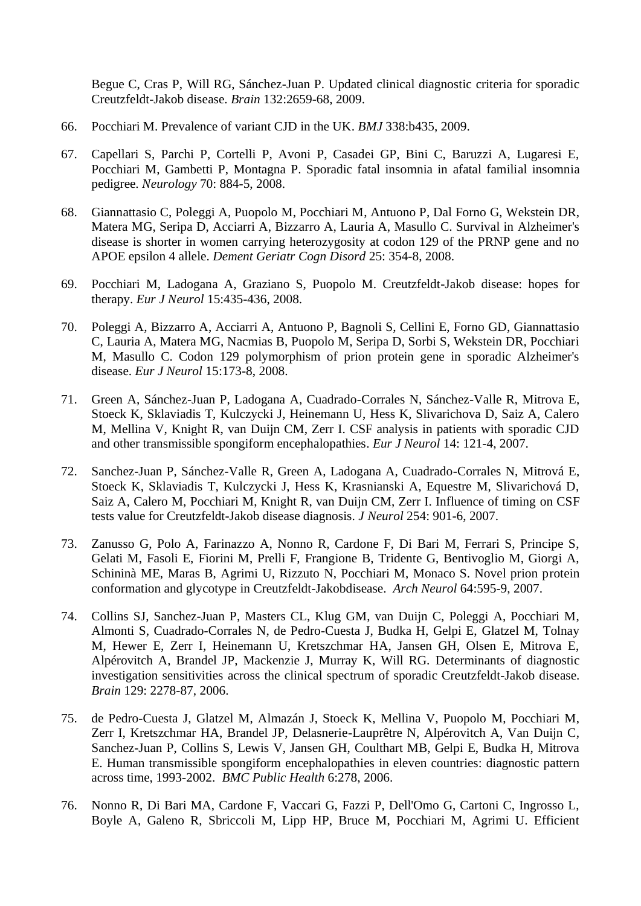Begue C, Cras P, Will RG, Sánchez-Juan P. Updated clinical diagnostic criteria for sporadic Creutzfeldt-Jakob disease. *Brain* 132:2659-68, 2009.

- 66. Pocchiari M. Prevalence of variant CJD in the UK. *BMJ* 338:b435, 2009.
- 67. Capellari S, Parchi P, Cortelli P, Avoni P, Casadei GP, Bini C, Baruzzi A, Lugaresi E, Pocchiari M, Gambetti P, Montagna P. Sporadic fatal insomnia in afatal familial insomnia pedigree. *Neurology* 70: 884-5, 2008.
- 68. Giannattasio C, Poleggi A, Puopolo M, Pocchiari M, Antuono P, Dal Forno G, Wekstein DR, Matera MG, Seripa D, Acciarri A, Bizzarro A, Lauria A, Masullo C. Survival in Alzheimer's disease is shorter in women carrying heterozygosity at codon 129 of the PRNP gene and no APOE epsilon 4 allele. *Dement Geriatr Cogn Disord* 25: 354-8, 2008.
- 69. Pocchiari M, Ladogana A, Graziano S, Puopolo M. Creutzfeldt-Jakob disease: hopes for therapy. *Eur J Neurol* 15:435-436, 2008.
- 70. Poleggi A, Bizzarro A, Acciarri A, Antuono P, Bagnoli S, Cellini E, Forno GD, Giannattasio C, Lauria A, Matera MG, Nacmias B, Puopolo M, Seripa D, Sorbi S, Wekstein DR, Pocchiari M, Masullo C. Codon 129 polymorphism of prion protein gene in sporadic Alzheimer's disease. *Eur J Neurol* 15:173-8, 2008.
- 71. Green A, Sánchez-Juan P, Ladogana A, Cuadrado-Corrales N, Sánchez-Valle R, Mitrova E, Stoeck K, Sklaviadis T, Kulczycki J, Heinemann U, Hess K, Slivarichova D, Saiz A, Calero M, Mellina V, Knight R, van Duijn CM, Zerr I. CSF analysis in patients with sporadic CJD and other transmissible spongiform encephalopathies. *Eur J Neurol* 14: 121-4, 2007.
- 72. Sanchez-Juan P, Sánchez-Valle R, Green A, Ladogana A, Cuadrado-Corrales N, Mitrová E, Stoeck K, Sklaviadis T, Kulczycki J, Hess K, Krasnianski A, Equestre M, Slivarichová D, Saiz A, Calero M, Pocchiari M, Knight R, van Duijn CM, Zerr I. Influence of timing on CSF tests value for Creutzfeldt-Jakob disease diagnosis. *J Neurol* 254: 901-6, 2007.
- 73. Zanusso G, Polo A, Farinazzo A, Nonno R, Cardone F, Di Bari M, Ferrari S, Principe S, Gelati M, Fasoli E, Fiorini M, Prelli F, Frangione B, Tridente G, Bentivoglio M, Giorgi A, Schininà ME, Maras B, Agrimi U, Rizzuto N, Pocchiari M, Monaco S. Novel prion protein conformation and glycotype in Creutzfeldt-Jakobdisease. *Arch Neurol* 64:595-9, 2007.
- 74. Collins SJ, Sanchez-Juan P, Masters CL, Klug GM, van Duijn C, Poleggi A, Pocchiari M, Almonti S, Cuadrado-Corrales N, de Pedro-Cuesta J, Budka H, Gelpi E, Glatzel M, Tolnay M, Hewer E, Zerr I, Heinemann U, Kretszchmar HA, Jansen GH, Olsen E, Mitrova E, Alpérovitch A, Brandel JP, Mackenzie J, Murray K, Will RG. Determinants of diagnostic investigation sensitivities across the clinical spectrum of sporadic Creutzfeldt-Jakob disease. *Brain* 129: 2278-87, 2006.
- 75. de Pedro-Cuesta J, Glatzel M, Almazán J, Stoeck K, Mellina V, Puopolo M, Pocchiari M, Zerr I, Kretszchmar HA, Brandel JP, Delasnerie-Lauprêtre N, Alpérovitch A, Van Duijn C, Sanchez-Juan P, Collins S, Lewis V, Jansen GH, Coulthart MB, Gelpi E, Budka H, Mitrova E. Human transmissible spongiform encephalopathies in eleven countries: diagnostic pattern across time, 1993-2002. *BMC Public Health* 6:278, 2006.
- 76. Nonno R, Di Bari MA, Cardone F, Vaccari G, Fazzi P, Dell'Omo G, Cartoni C, Ingrosso L, Boyle A, Galeno R, Sbriccoli M, Lipp HP, Bruce M, Pocchiari M, Agrimi U. Efficient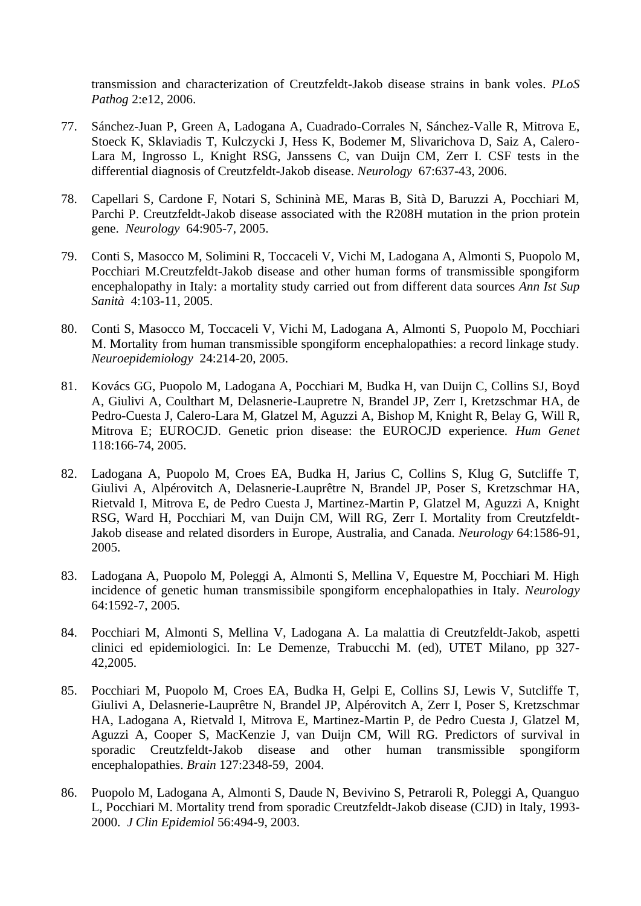transmission and characterization of Creutzfeldt-Jakob disease strains in bank voles. *PLoS Pathog* 2:e12, 2006.

- 77. Sánchez-Juan P, Green A, Ladogana A, Cuadrado-Corrales N, Sánchez-Valle R, Mitrova E, Stoeck K, Sklaviadis T, Kulczycki J, Hess K, Bodemer M, Slivarichova D, Saiz A, Calero-Lara M, Ingrosso L, Knight RSG, Janssens C, van Duijn CM, Zerr I. CSF tests in the differential diagnosis of Creutzfeldt-Jakob disease. *Neurology* 67:637-43, 2006.
- 78. Capellari S, Cardone F, Notari S, Schininà ME, Maras B, Sità D, Baruzzi A, Pocchiari M, Parchi P. Creutzfeldt-Jakob disease associated with the R208H mutation in the prion protein gene. *Neurology* 64:905-7, 2005.
- 79. [Conti S, Masocco M, Solimini R, Toccaceli V, Vichi M, Ladogana A, Almonti S, Puopolo M,](http://www.ncbi.nlm.nih.gov/entrez/query.fcgi?cmd=Retrieve&db=pubmed&dopt=Abstract&list_uids=16037658&query_hl=1&itool=pubmed_docsum)  [Pocchiari M.C](http://www.ncbi.nlm.nih.gov/entrez/query.fcgi?cmd=Retrieve&db=pubmed&dopt=Abstract&list_uids=16037658&query_hl=1&itool=pubmed_docsum)reutzfeldt-Jakob disease and other human forms of transmissible spongiform encephalopathy in Italy: a mortality study carried out from different data sources *Ann Ist Sup Sanità* 4:103-11, 2005.
- 80. Conti S, Masocco M, Toccaceli V, Vichi M, Ladogana A, Almonti S, Puopolo M, Pocchiari M. Mortality from human transmissible spongiform encephalopathies: a record linkage study. *Neuroepidemiology* 24:214-20, 2005.
- 81. Kovács GG, Puopolo M, Ladogana A, Pocchiari M, Budka H, van Duijn C, Collins SJ, Boyd A, Giulivi A, Coulthart M, Delasnerie-Laupretre N, Brandel JP, Zerr I, Kretzschmar HA, de Pedro-Cuesta J, Calero-Lara M, Glatzel M, Aguzzi A, Bishop M, Knight R, Belay G, Will R, Mitrova E; EUROCJD. Genetic prion disease: the EUROCJD experience. *Hum Genet* 118:166-74, 2005.
- 82. Ladogana A, Puopolo M, Croes EA, Budka H, Jarius C, Collins S, Klug G, Sutcliffe T, Giulivi A, Alpérovitch A, Delasnerie-Lauprêtre N, Brandel JP, Poser S, Kretzschmar HA, Rietvald I, Mitrova E, de Pedro Cuesta J, Martinez-Martin P, Glatzel M, Aguzzi A, Knight RSG, Ward H, Pocchiari M, van Duijn CM, Will RG, Zerr I. Mortality from Creutzfeldt-Jakob disease and related disorders in Europe, Australia, and Canada. *Neurology* 64:1586-91, 2005.
- 83. Ladogana A, Puopolo M, Poleggi A, Almonti S, Mellina V, Equestre M, Pocchiari M. High incidence of genetic human transmissibile spongiform encephalopathies in Italy. *Neurology* 64:1592-7, 2005.
- 84. Pocchiari M, Almonti S, Mellina V, Ladogana A. La malattia di Creutzfeldt-Jakob, aspetti clinici ed epidemiologici. In: Le Demenze, Trabucchi M. (ed), UTET Milano, pp 327- 42,2005.
- 85. Pocchiari M, Puopolo M, Croes EA, Budka H, Gelpi E, Collins SJ, Lewis V, Sutcliffe T, Giulivi A, Delasnerie-Lauprêtre N, Brandel JP, Alpérovitch A, Zerr I, Poser S, Kretzschmar HA, Ladogana A, Rietvald I, Mitrova E, Martinez-Martin P, de Pedro Cuesta J, Glatzel M, Aguzzi A, Cooper S, MacKenzie J, van Duijn CM, Will RG. Predictors of survival in sporadic Creutzfeldt-Jakob disease and other human transmissible spongiform encephalopathies. *Brain* 127:2348-59, 2004.
- 86. Puopolo M, Ladogana A, Almonti S, Daude N, Bevivino S, Petraroli R, Poleggi A, Quanguo L, Pocchiari M. Mortality trend from sporadic Creutzfeldt-Jakob disease (CJD) in Italy, 1993- 2000. *J Clin Epidemiol* 56:494-9, 2003.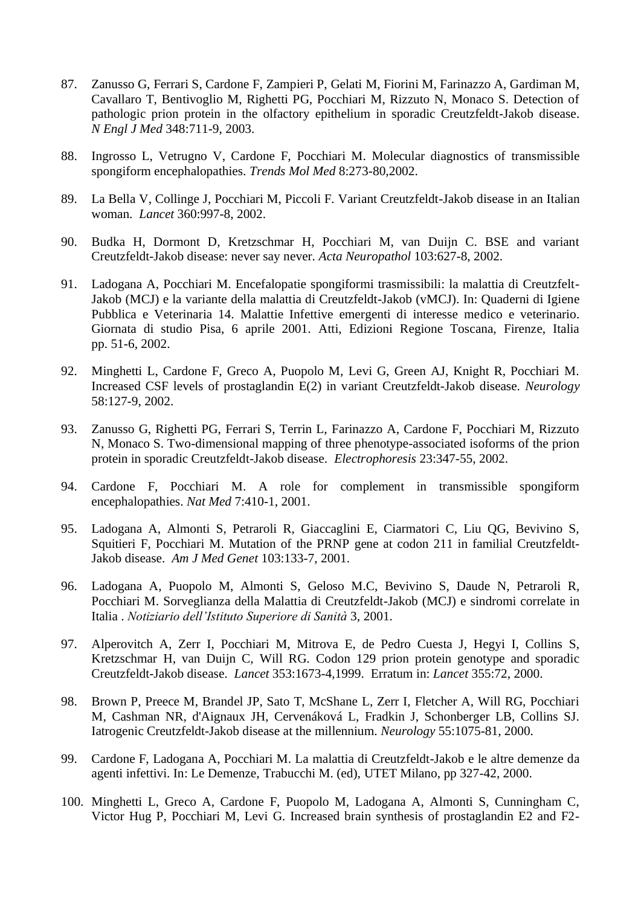- 87. Zanusso G, Ferrari S, Cardone F, Zampieri P, Gelati M, Fiorini M, Farinazzo A, Gardiman M, Cavallaro T, Bentivoglio M, Righetti PG, Pocchiari M, Rizzuto N, Monaco S. Detection of pathologic prion protein in the olfactory epithelium in sporadic Creutzfeldt-Jakob disease. *N Engl J Med* 348:711-9, 2003.
- 88. Ingrosso L, Vetrugno V, Cardone F, Pocchiari M. Molecular diagnostics of transmissible spongiform encephalopathies. *Trends Mol Med* 8:273-80,2002.
- 89. La Bella V, Collinge J, Pocchiari M, Piccoli F. Variant Creutzfeldt-Jakob disease in an Italian woman. *Lancet* 360:997-8, 2002.
- 90. Budka H, Dormont D, Kretzschmar H, Pocchiari M, van Duijn C. BSE and variant Creutzfeldt-Jakob disease: never say never. *Acta Neuropathol* 103:627-8, 2002.
- 91. Ladogana A, Pocchiari M. Encefalopatie spongiformi trasmissibili: la malattia di Creutzfelt-Jakob (MCJ) e la variante della malattia di Creutzfeldt-Jakob (vMCJ). In: Quaderni di Igiene Pubblica e Veterinaria 14. Malattie Infettive emergenti di interesse medico e veterinario. Giornata di studio Pisa, 6 aprile 2001. Atti, Edizioni Regione Toscana, Firenze, Italia pp. 51-6, 2002.
- 92. Minghetti L, Cardone F, Greco A, Puopolo M, Levi G, Green AJ, Knight R, Pocchiari M. Increased CSF levels of prostaglandin E(2) in variant Creutzfeldt-Jakob disease. *Neurology* 58:127-9, 2002.
- 93. Zanusso G, Righetti PG, Ferrari S, Terrin L, Farinazzo A, Cardone F, Pocchiari M, Rizzuto N, Monaco S. Two-dimensional mapping of three phenotype-associated isoforms of the prion protein in sporadic Creutzfeldt-Jakob disease. *Electrophoresis* 23:347-55, 2002.
- 94. Cardone F, Pocchiari M. A role for complement in transmissible spongiform encephalopathies. *Nat Med* 7:410-1, 2001.
- 95. Ladogana A, Almonti S, Petraroli R, Giaccaglini E, Ciarmatori C, Liu QG, Bevivino S, Squitieri F, Pocchiari M. Mutation of the PRNP gene at codon 211 in familial Creutzfeldt-Jakob disease. *Am J Med Genet* 103:133-7, 2001.
- 96. Ladogana A, Puopolo M, Almonti S, Geloso M.C, Bevivino S, Daude N, Petraroli R, Pocchiari M. Sorveglianza della Malattia di Creutzfeldt-Jakob (MCJ) e sindromi correlate in Italia . *Notiziario dell'Istituto Superiore di Sanità* 3, 2001.
- 97. Alperovitch A, Zerr I, Pocchiari M, Mitrova E, de Pedro Cuesta J, Hegyi I, Collins S, Kretzschmar H, van Duijn C, Will RG. Codon 129 prion protein genotype and sporadic Creutzfeldt-Jakob disease. *Lancet* 353:1673-4,1999. Erratum in: *Lancet* 355:72, 2000.
- 98. Brown P, Preece M, Brandel JP, Sato T, McShane L, Zerr I, Fletcher A, Will RG, Pocchiari M, Cashman NR, d'Aignaux JH, Cervenáková L, Fradkin J, Schonberger LB, Collins SJ. Iatrogenic Creutzfeldt-Jakob disease at the millennium. *Neurology* 55:1075-81, 2000.
- 99. Cardone F, Ladogana A, Pocchiari M. La malattia di Creutzfeldt-Jakob e le altre demenze da agenti infettivi. In: Le Demenze, Trabucchi M. (ed), UTET Milano, pp 327-42, 2000.
- 100. Minghetti L, Greco A, Cardone F, Puopolo M, Ladogana A, Almonti S, Cunningham C, Victor Hug P, Pocchiari M, Levi G. Increased brain synthesis of prostaglandin E2 and F2-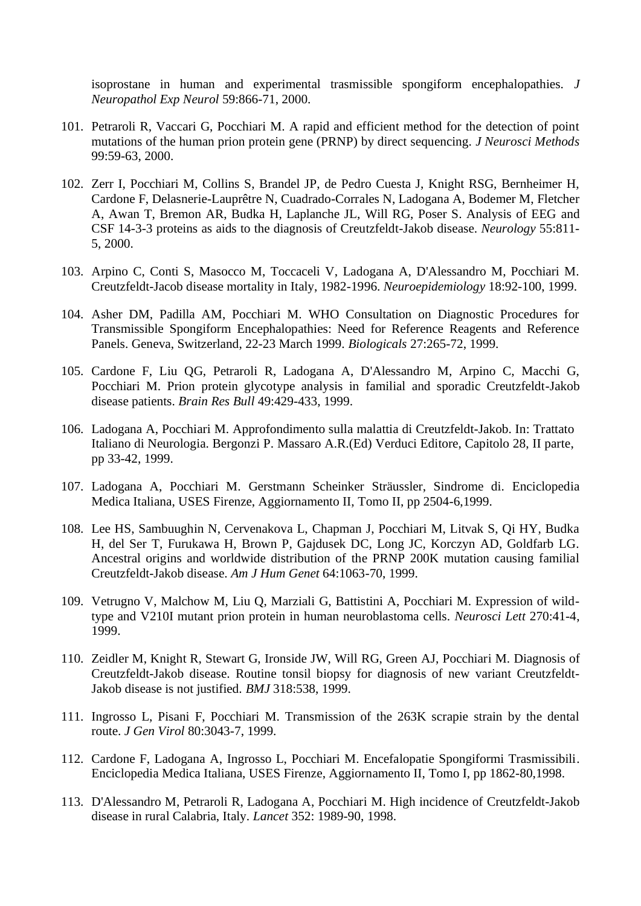isoprostane in human and experimental trasmissible spongiform encephalopathies. *J Neuropathol Exp Neurol* 59:866-71, 2000.

- 101. Petraroli R, Vaccari G, Pocchiari M. A rapid and efficient method for the detection of point mutations of the human prion protein gene (PRNP) by direct sequencing. *J Neurosci Methods* 99:59-63, 2000.
- 102. Zerr I, Pocchiari M, Collins S, Brandel JP, de Pedro Cuesta J, Knight RSG, Bernheimer H, Cardone F, Delasnerie-Lauprêtre N, Cuadrado-Corrales N, Ladogana A, Bodemer M, Fletcher A, Awan T, Bremon AR, Budka H, Laplanche JL, Will RG, Poser S. Analysis of EEG and CSF 14-3-3 proteins as aids to the diagnosis of Creutzfeldt-Jakob disease. *Neurology* 55:811- 5, 2000.
- 103. Arpino C, Conti S, Masocco M, Toccaceli V, Ladogana A, D'Alessandro M, Pocchiari M. Creutzfeldt-Jacob disease mortality in Italy, 1982-1996. *Neuroepidemiology* 18:92-100, 1999.
- 104. Asher DM, Padilla AM, Pocchiari M. WHO Consultation on Diagnostic Procedures for Transmissible Spongiform Encephalopathies: Need for Reference Reagents and Reference Panels. Geneva, Switzerland, 22-23 March 1999. *Biologicals* 27:265-72, 1999.
- 105. Cardone F, Liu QG, Petraroli R, Ladogana A, D'Alessandro M, Arpino C, Macchi G, Pocchiari M. Prion protein glycotype analysis in familial and sporadic Creutzfeldt-Jakob disease patients. *Brain Res Bull* 49:429-433, 1999.
- 106. Ladogana A, Pocchiari M. Approfondimento sulla malattia di Creutzfeldt-Jakob. In: Trattato Italiano di Neurologia. Bergonzi P. Massaro A.R.(Ed) Verduci Editore, Capitolo 28, II parte, pp 33-42, 1999.
- 107. Ladogana A, Pocchiari M. Gerstmann Scheinker Sträussler, Sindrome di. Enciclopedia Medica Italiana, USES Firenze, Aggiornamento II, Tomo II, pp 2504-6,1999.
- 108. Lee HS, Sambuughin N, Cervenakova L, Chapman J, Pocchiari M, Litvak S, Qi HY, Budka H, del Ser T, Furukawa H, Brown P, Gajdusek DC, Long JC, Korczyn AD, Goldfarb LG. Ancestral origins and worldwide distribution of the PRNP 200K mutation causing familial Creutzfeldt-Jakob disease. *Am J Hum Genet* 64:1063-70, 1999.
- 109. Vetrugno V, Malchow M, Liu Q, Marziali G, Battistini A, Pocchiari M. Expression of wildtype and V210I mutant prion protein in human neuroblastoma cells. *Neurosci Lett* 270:41-4, 1999.
- 110. Zeidler M, Knight R, Stewart G, Ironside JW, Will RG, Green AJ, Pocchiari M. Diagnosis of Creutzfeldt-Jakob disease. Routine tonsil biopsy for diagnosis of new variant Creutzfeldt-Jakob disease is not justified. *BMJ* 318:538, 1999.
- 111. Ingrosso L, Pisani F, Pocchiari M. Transmission of the 263K scrapie strain by the dental route. *J Gen Virol* 80:3043-7, 1999.
- 112. Cardone F, Ladogana A, Ingrosso L, Pocchiari M. Encefalopatie Spongiformi Trasmissibili. Enciclopedia Medica Italiana, USES Firenze, Aggiornamento II, Tomo I, pp 1862-80,1998.
- 113. D'Alessandro M, Petraroli R, Ladogana A, Pocchiari M. High incidence of Creutzfeldt-Jakob disease in rural Calabria, Italy. *Lancet* 352: 1989-90, 1998.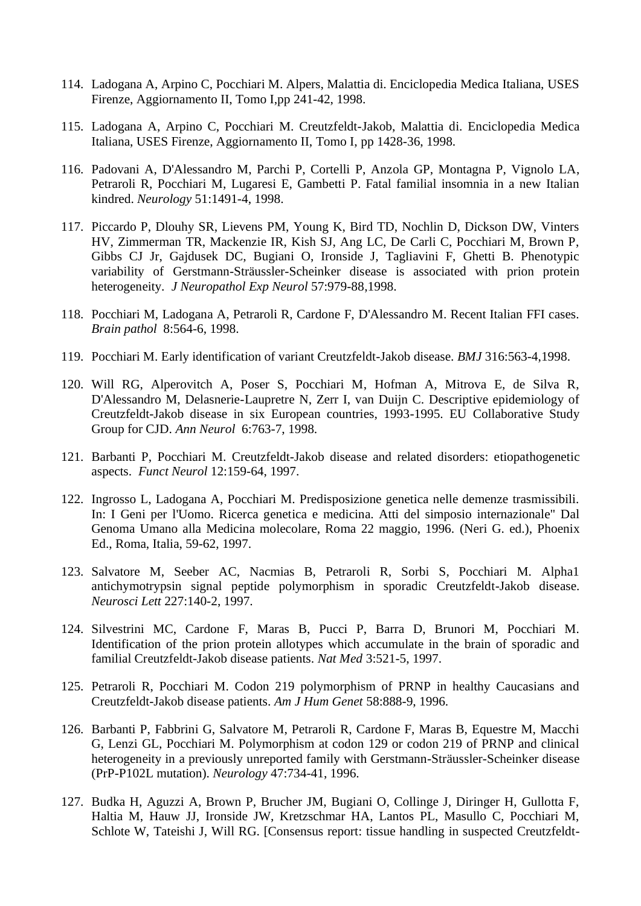- 114. Ladogana A, Arpino C, Pocchiari M. Alpers, Malattia di. Enciclopedia Medica Italiana, USES Firenze, Aggiornamento II, Tomo I,pp 241-42, 1998.
- 115. Ladogana A, Arpino C, Pocchiari M. Creutzfeldt-Jakob, Malattia di. Enciclopedia Medica Italiana, USES Firenze, Aggiornamento II, Tomo I, pp 1428-36, 1998.
- 116. Padovani A, D'Alessandro M, Parchi P, Cortelli P, Anzola GP, Montagna P, Vignolo LA, Petraroli R, Pocchiari M, Lugaresi E, Gambetti P. Fatal familial insomnia in a new Italian kindred. *Neurology* 51:1491-4, 1998.
- 117. Piccardo P, Dlouhy SR, Lievens PM, Young K, Bird TD, Nochlin D, Dickson DW, Vinters HV, Zimmerman TR, Mackenzie IR, Kish SJ, Ang LC, De Carli C, Pocchiari M, Brown P, Gibbs CJ Jr, Gajdusek DC, Bugiani O, Ironside J, Tagliavini F, Ghetti B. Phenotypic variability of Gerstmann-Sträussler-Scheinker disease is associated with prion protein heterogeneity. *J Neuropathol Exp Neurol* 57:979-88,1998.
- 118. Pocchiari M, Ladogana A, Petraroli R, Cardone F, D'Alessandro M. Recent Italian FFI cases. *Brain pathol* 8:564-6, 1998.
- 119. Pocchiari M. Early identification of variant Creutzfeldt-Jakob disease. *BMJ* 316:563-4,1998.
- 120. Will RG, Alperovitch A, Poser S, Pocchiari M, Hofman A, Mitrova E, de Silva R, D'Alessandro M, Delasnerie-Laupretre N, Zerr I, van Duijn C. Descriptive epidemiology of Creutzfeldt-Jakob disease in six European countries, 1993-1995. EU Collaborative Study Group for CJD. *Ann Neurol* 6:763-7, 1998.
- 121. Barbanti P, Pocchiari M. Creutzfeldt-Jakob disease and related disorders: etiopathogenetic aspects. *Funct Neurol* 12:159-64, 1997.
- 122. Ingrosso L, Ladogana A, Pocchiari M. Predisposizione genetica nelle demenze trasmissibili. In: I Geni per l'Uomo. Ricerca genetica e medicina. Atti del simposio internazionale" Dal Genoma Umano alla Medicina molecolare, Roma 22 maggio, 1996. (Neri G. ed.), Phoenix Ed., Roma, Italia, 59-62, 1997.
- 123. Salvatore M, Seeber AC, Nacmias B, Petraroli R, Sorbi S, Pocchiari M. Alpha1 antichymotrypsin signal peptide polymorphism in sporadic Creutzfeldt-Jakob disease. *Neurosci Lett* 227:140-2, 1997.
- 124. Silvestrini MC, Cardone F, Maras B, Pucci P, Barra D, Brunori M, Pocchiari M. Identification of the prion protein allotypes which accumulate in the brain of sporadic and familial Creutzfeldt-Jakob disease patients. *Nat Med* 3:521-5, 1997.
- 125. Petraroli R, Pocchiari M. Codon 219 polymorphism of PRNP in healthy Caucasians and Creutzfeldt-Jakob disease patients. *Am J Hum Genet* 58:888-9, 1996.
- 126. Barbanti P, Fabbrini G, Salvatore M, Petraroli R, Cardone F, Maras B, Equestre M, Macchi G, Lenzi GL, Pocchiari M. Polymorphism at codon 129 or codon 219 of PRNP and clinical heterogeneity in a previously unreported family with Gerstmann-Sträussler-Scheinker disease (PrP-P102L mutation). *Neurology* 47:734-41, 1996.
- 127. Budka H, Aguzzi A, Brown P, Brucher JM, Bugiani O, Collinge J, Diringer H, Gullotta F, Haltia M, Hauw JJ, Ironside JW, Kretzschmar HA, Lantos PL, Masullo C, Pocchiari M, Schlote W, Tateishi J, Will RG. [Consensus report: tissue handling in suspected Creutzfeldt-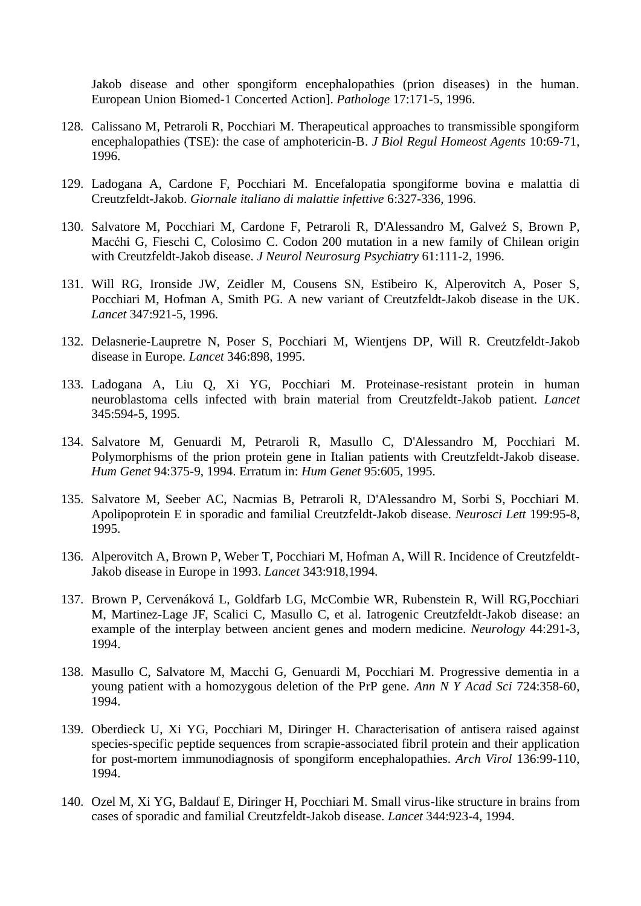Jakob disease and other spongiform encephalopathies (prion diseases) in the human. European Union Biomed-1 Concerted Action]. *Pathologe* 17:171-5, 1996.

- 128. Calissano M, Petraroli R, Pocchiari M. Therapeutical approaches to transmissible spongiform encephalopathies (TSE): the case of amphotericin-B. *J Biol Regul Homeost Agents* 10:69-71, 1996.
- 129. Ladogana A, Cardone F, Pocchiari M. Encefalopatia spongiforme bovina e malattia di Creutzfeldt-Jakob. *Giornale italiano di malattie infettive* 6:327-336, 1996.
- 130. Salvatore M, Pocchiari M, Cardone F, Petraroli R, D'Alessandro M, Galveź S, Brown P, Macćhi G, Fieschi C, Colosimo C. Codon 200 mutation in a new family of Chilean origin with Creutzfeldt-Jakob disease. *J Neurol Neurosurg Psychiatry* 61:111-2, 1996.
- 131. Will RG, Ironside JW, Zeidler M, Cousens SN, Estibeiro K, Alperovitch A, Poser S, Pocchiari M, Hofman A, Smith PG. A new variant of Creutzfeldt-Jakob disease in the UK. *Lancet* 347:921-5, 1996.
- 132. Delasnerie-Laupretre N, Poser S, Pocchiari M, Wientjens DP, Will R. Creutzfeldt-Jakob disease in Europe. *Lancet* 346:898, 1995.
- 133. Ladogana A, Liu Q, Xi YG, Pocchiari M. Proteinase-resistant protein in human neuroblastoma cells infected with brain material from Creutzfeldt-Jakob patient. *Lancet* 345:594-5, 1995.
- 134. Salvatore M, Genuardi M, Petraroli R, Masullo C, D'Alessandro M, Pocchiari M. Polymorphisms of the prion protein gene in Italian patients with Creutzfeldt-Jakob disease. *Hum Genet* 94:375-9, 1994. Erratum in: *Hum Genet* 95:605, 1995.
- 135. Salvatore M, Seeber AC, Nacmias B, Petraroli R, D'Alessandro M, Sorbi S, Pocchiari M. Apolipoprotein E in sporadic and familial Creutzfeldt-Jakob disease. *Neurosci Lett* 199:95-8, 1995.
- 136. Alperovitch A, Brown P, Weber T, Pocchiari M, Hofman A, Will R. Incidence of Creutzfeldt-Jakob disease in Europe in 1993. *Lancet* 343:918,1994.
- 137. Brown P, Cervenáková L, Goldfarb LG, McCombie WR, Rubenstein R, Will RG,Pocchiari M, Martinez-Lage JF, Scalici C, Masullo C, et al. Iatrogenic Creutzfeldt-Jakob disease: an example of the interplay between ancient genes and modern medicine. *Neurology* 44:291-3, 1994.
- 138. Masullo C, Salvatore M, Macchi G, Genuardi M, Pocchiari M. Progressive dementia in a young patient with a homozygous deletion of the PrP gene. *Ann N Y Acad Sci* 724:358-60, 1994.
- 139. Oberdieck U, Xi YG, Pocchiari M, Diringer H. Characterisation of antisera raised against species-specific peptide sequences from scrapie-associated fibril protein and their application for post-mortem immunodiagnosis of spongiform encephalopathies. *Arch Virol* 136:99-110, 1994.
- 140. Ozel M, Xi YG, Baldauf E, Diringer H, Pocchiari M. Small virus-like structure in brains from cases of sporadic and familial Creutzfeldt-Jakob disease. *Lancet* 344:923-4, 1994.